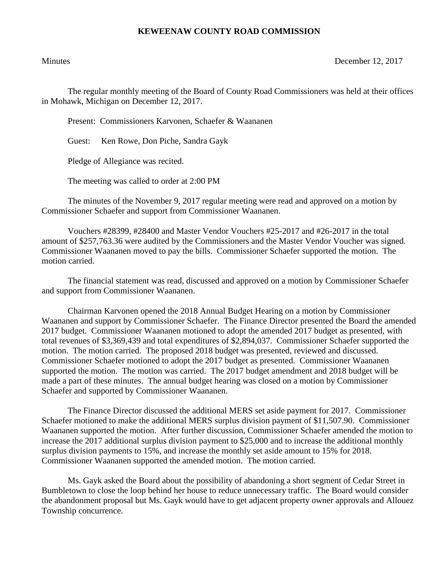## **KEWEENAW COUNTY ROAD COMMISSION**

Minutes December 12, 2017

The regular monthly meeting of the Board of County Road Commissioners was held at their offices in Mohawk, Michigan on December 12, 2017.

Present: Commissioners Karvonen, Schaefer & Waananen

Guest: Ken Rowe, Don Piche, Sandra Gayk

Pledge of Allegiance was recited.

The meeting was called to order at 2:00 PM

The minutes of the November 9, 2017 regular meeting were read and approved on a motion by Commissioner Schaefer and support from Commissioner Waananen.

Vouchers #28399, #28400 and Master Vendor Vouchers #25-2017 and #26-2017 in the total amount of \$257,763.36 were audited by the Commissioners and the Master Vendor Voucher was signed. Commissioner Waananen moved to pay the bills. Commissioner Schaefer supported the motion. The motion carried.

The financial statement was read, discussed and approved on a motion by Commissioner Schaefer and support from Commissioner Waananen.

Chairman Karvonen opened the 2018 Annual Budget Hearing on a motion by Commissioner Waananen and support by Commissioner Schaefer. The Finance Director presented the Board the amended 2017 budget. Commissioner Waananen motioned to adopt the amended 2017 budget as presented, with total revenues of \$3,369,439 and total expenditures of \$2,894,037. Commissioner Schaefer supported the motion. The motion carried. The proposed 2018 budget was presented, reviewed and discussed. Commissioner Schaefer motioned to adopt the 2017 budget as presented. Commissioner Waananen supported the motion. The motion was carried. The 2017 budget amendment and 2018 budget will be made a part of these minutes. The annual budget hearing was closed on a motion by Commissioner Schaefer and supported by Commissioner Waananen.

The Finance Director discussed the additional MERS set aside payment for 2017. Commissioner Schaefer motioned to make the additional MERS surplus division payment of \$11,507.90. Commissioner Waananen supported the motion. After further discussion, Commissioner Schaefer amended the motion to increase the 2017 additional surplus division payment to \$25,000 and to increase the additional monthly surplus division payments to 15%, and increase the monthly set aside amount to 15% for 2018. Commissioner Waananen supported the amended motion. The motion carried.

Ms. Gayk asked the Board about the possibility of abandoning a short segment of Cedar Street in Bumbletown to close the loop behind her house to reduce unnecessary traffic. The Board would consider the abandonment proposal but Ms. Gayk would have to get adjacent property owner approvals and Allouez Township concurrence.